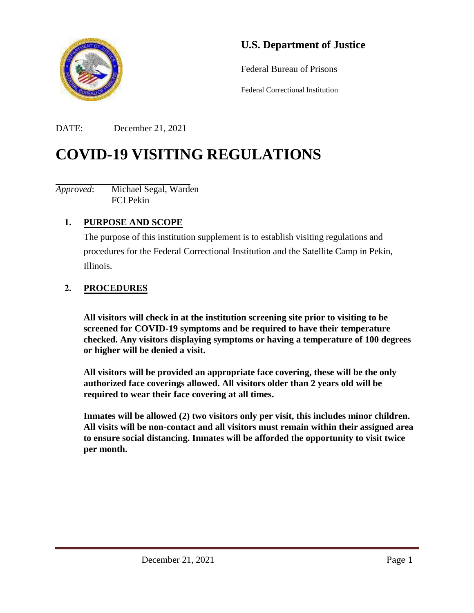

## **U.S. Department of Justice**

Federal Bureau of Prisons

Federal Correctional Institution

DATE: December 21, 2021

# **COVID-19 VISITING REGULATIONS**

*Approved*: Michael Segal, Warden FCI Pekin

## **1. PURPOSE AND SCOPE**

The purpose of this institution supplement is to establish visiting regulations and procedures for the Federal Correctional Institution and the Satellite Camp in Pekin, Illinois.

## **2. PROCEDURES**

**All visitors will check in at the institution screening site prior to visiting to be screened for COVID-19 symptoms and be required to have their temperature checked. Any visitors displaying symptoms or having a temperature of 100 degrees or higher will be denied a visit.**

**All visitors will be provided an appropriate face covering, these will be the only authorized face coverings allowed. All visitors older than 2 years old will be required to wear their face covering at all times.**

**Inmates will be allowed (2) two visitors only per visit, this includes minor children. All visits will be non-contact and all visitors must remain within their assigned area to ensure social distancing. Inmates will be afforded the opportunity to visit twice per month.**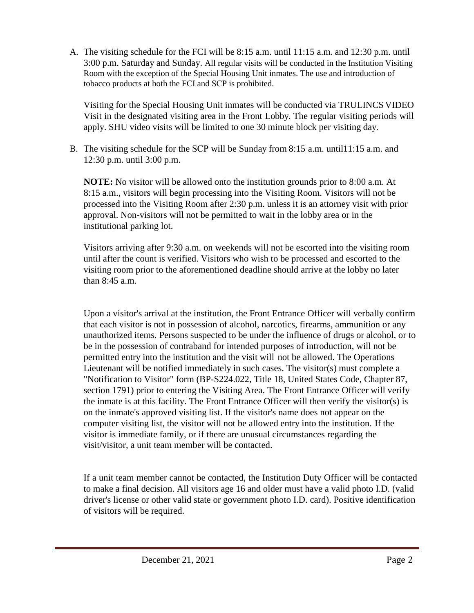A. The visiting schedule for the FCI will be 8:15 a.m. until 11:15 a.m. and 12:30 p.m. until 3:00 p.m. Saturday and Sunday. All regular visits will be conducted in the Institution Visiting Room with the exception of the Special Housing Unit inmates. The use and introduction of tobacco products at both the FCI and SCP is prohibited.

Visiting for the Special Housing Unit inmates will be conducted via TRULINCSVIDEO Visit in the designated visiting area in the Front Lobby. The regular visiting periods will apply. SHU video visits will be limited to one 30 minute block per visiting day.

B. The visiting schedule for the SCP will be Sunday from 8:15 a.m. until 11:15 a.m. and 12:30 p.m. until 3:00 p.m.

**NOTE:** No visitor will be allowed onto the institution grounds prior to 8:00 a.m. At 8:15 a.m., visitors will begin processing into the Visiting Room. Visitors will not be processed into the Visiting Room after 2:30 p.m. unless it is an attorney visit with prior approval. Non-visitors will not be permitted to wait in the lobby area or in the institutional parking lot.

Visitors arriving after 9:30 a.m. on weekends will not be escorted into the visiting room until after the count is verified. Visitors who wish to be processed and escorted to the visiting room prior to the aforementioned deadline should arrive at the lobby no later than 8:45 a.m.

Upon a visitor's arrival at the institution, the Front Entrance Officer will verbally confirm that each visitor is not in possession of alcohol, narcotics, firearms, ammunition or any unauthorized items. Persons suspected to be under the influence of drugs or alcohol, or to be in the possession of contraband for intended purposes of introduction, will not be permitted entry into the institution and the visit will not be allowed. The Operations Lieutenant will be notified immediately in such cases. The visitor(s) must complete a "Notification to Visitor" form (BP-S224.022, Title 18, United States Code, Chapter 87, section 1791) prior to entering the Visiting Area. The Front Entrance Officer will verify the inmate is at this facility. The Front Entrance Officer will then verify the visitor(s) is on the inmate's approved visiting list. If the visitor's name does not appear on the computer visiting list, the visitor will not be allowed entry into the institution. If the visitor is immediate family, or if there are unusual circumstances regarding the visit/visitor, a unit team member will be contacted.

If a unit team member cannot be contacted, the Institution Duty Officer will be contacted to make a final decision. All visitors age 16 and older must have a valid photo I.D. (valid driver's license or other valid state or government photo I.D. card). Positive identification of visitors will be required.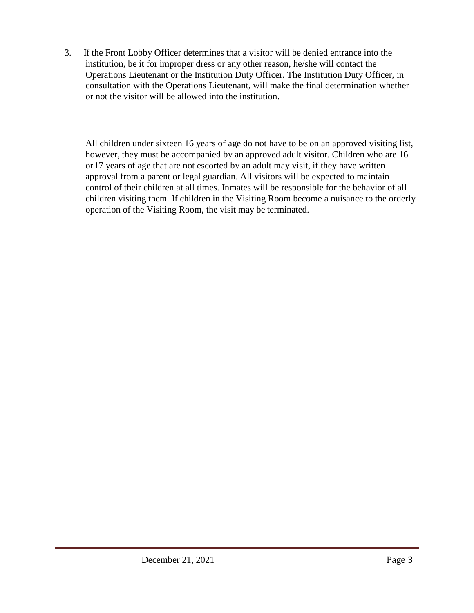3. If the Front Lobby Officer determines that a visitor will be denied entrance into the institution, be it for improper dress or any other reason, he/she will contact the Operations Lieutenant or the Institution Duty Officer. The Institution Duty Officer, in consultation with the Operations Lieutenant, will make the final determination whether or not the visitor will be allowed into the institution.

All children under sixteen 16 years of age do not have to be on an approved visiting list, however, they must be accompanied by an approved adult visitor. Children who are 16 or17 years of age that are not escorted by an adult may visit, if they have written approval from a parent or legal guardian. All visitors will be expected to maintain control of their children at all times. Inmates will be responsible for the behavior of all children visiting them. If children in the Visiting Room become a nuisance to the orderly operation of the Visiting Room, the visit may be terminated.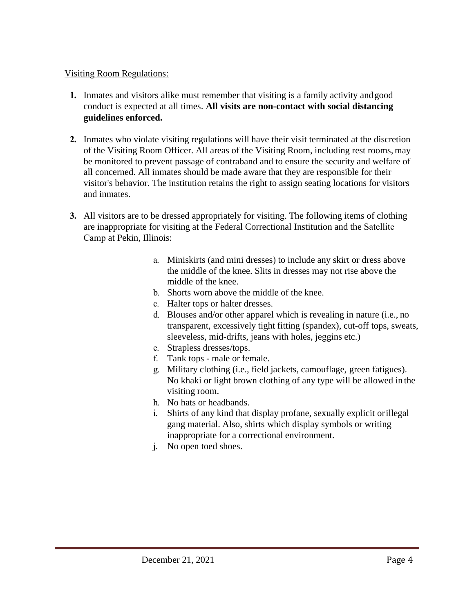#### Visiting Room Regulations:

- **1.** Inmates and visitors alike must remember that visiting is a family activity and good conduct is expected at all times. **All visits are non-contact with social distancing guidelines enforced.**
- **2.** Inmates who violate visiting regulations will have their visit terminated at the discretion of the Visiting Room Officer. All areas of the Visiting Room, including rest rooms, may be monitored to prevent passage of contraband and to ensure the security and welfare of all concerned. All inmates should be made aware that they are responsible for their visitor's behavior. The institution retains the right to assign seating locations for visitors and inmates.
- **3.** All visitors are to be dressed appropriately for visiting. The following items of clothing are inappropriate for visiting at the Federal Correctional Institution and the Satellite Camp at Pekin, Illinois:
	- a. Miniskirts (and mini dresses) to include any skirt or dress above the middle of the knee. Slits in dresses may not rise above the middle of the knee.
	- b. Shorts worn above the middle of the knee.
	- c. Halter tops or halter dresses.
	- d. Blouses and/or other apparel which is revealing in nature (i.e., no transparent, excessively tight fitting (spandex), cut-off tops, sweats, sleeveless, mid-drifts, jeans with holes, jeggins etc.)
	- e. Strapless dresses/tops.
	- f. Tank tops male or female.
	- g. Military clothing (i.e., field jackets, camouflage, green fatigues). No khaki or light brown clothing of any type will be allowed in the visiting room.
	- h. No hats or headbands.
	- i. Shirts of any kind that display profane, sexually explicit or illegal gang material. Also, shirts which display symbols or writing inappropriate for a correctional environment.
	- j. No open toed shoes.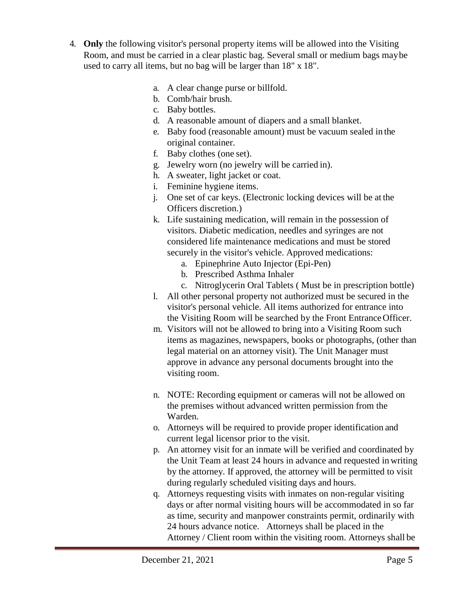- 4. **Only** the following visitor's personal property items will be allowed into the Visiting Room, and must be carried in a clear plastic bag. Several small or medium bags maybe used to carry all items, but no bag will be larger than 18" x 18".
	- a. A clear change purse or billfold.
	- b. Comb/hair brush.
	- c. Baby bottles.
	- d. A reasonable amount of diapers and a small blanket.
	- e. Baby food (reasonable amount) must be vacuum sealed in the original container.
	- f. Baby clothes (one set).
	- g. Jewelry worn (no jewelry will be carried in).
	- h. A sweater, light jacket or coat.
	- i. Feminine hygiene items.
	- j. One set of car keys. (Electronic locking devices will be at the Officers discretion.)
	- k. Life sustaining medication, will remain in the possession of visitors. Diabetic medication, needles and syringes are not considered life maintenance medications and must be stored securely in the visitor's vehicle. Approved medications:
		- a. Epinephrine Auto Injector (Epi-Pen)
		- b. Prescribed Asthma Inhaler
		- c. Nitroglycerin Oral Tablets ( Must be in prescription bottle)
	- l. All other personal property not authorized must be secured in the visitor's personal vehicle. All items authorized for entrance into the Visiting Room will be searched by the Front EntranceOfficer.
	- m. Visitors will not be allowed to bring into a Visiting Room such items as magazines, newspapers, books or photographs, (other than legal material on an attorney visit). The Unit Manager must approve in advance any personal documents brought into the visiting room.
	- n. NOTE: Recording equipment or cameras will not be allowed on the premises without advanced written permission from the Warden.
	- o. Attorneys will be required to provide proper identification and current legal licensor prior to the visit.
	- p. An attorney visit for an inmate will be verified and coordinated by the Unit Team at least 24 hours in advance and requested in writing by the attorney. If approved, the attorney will be permitted to visit during regularly scheduled visiting days and hours.
	- q. Attorneys requesting visits with inmates on non-regular visiting days or after normal visiting hours will be accommodated in so far as time, security and manpower constraints permit, ordinarily with 24 hours advance notice. Attorneys shall be placed in the Attorney / Client room within the visiting room. Attorneys shall be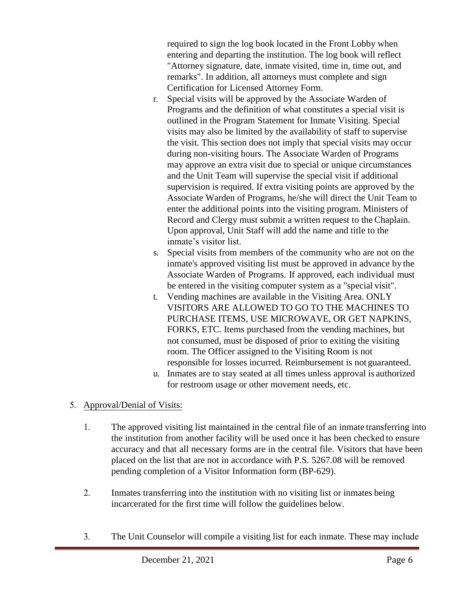required to sign the log book located in the Front Lobby when entering and departing the institution. The log book will reflect "Attorney signature, date, inmate visited, time in, time out, and remarks". In addition, all attorneys must complete and sign Certification for Licensed Attorney Form.

- r. Special visits will be approved by the Associate Warden of Programs and the definition of what constitutes a special visit is outlined in the Program Statement for Inmate Visiting. Special visits may also be limited by the availability of staff to supervise the visit. This section does not imply that special visits may occur during non-visiting hours. The Associate Warden of Programs may approve an extra visit due to special or unique circumstances and the Unit Team will supervise the special visit if additional supervision is required. If extra visiting points are approved by the Associate Warden of Programs, he/she will direct the Unit Team to enter the additional points into the visiting program. Ministers of Record and Clergy must submit a written request to the Chaplain. Upon approval, Unit Staff will add the name and title to the inmate's visitor list.
- s. Special visits from members of the community who are not on the inmate's approved visiting list must be approved in advance by the Associate Warden of Programs. If approved, each individual must be entered in the visiting computer system as a "special visit".
- t. Vending machines are available in the Visiting Area. ONLY VISITORS ARE ALLOWED TO GO TO THE MACHINES TO PURCHASE ITEMS, USE MICROWAVE, OR GET NAPKINS, FORKS, ETC. Items purchased from the vending machines, but not consumed, must be disposed of prior to exiting the visiting room. The Officer assigned to the Visiting Room is not responsible for losses incurred. Reimbursement is not guaranteed.
- u. Inmates are to stay seated at all times unless approval is authorized for restroom usage or other movement needs, etc.

## 5. Approval/Denial of Visits:

- 1. The approved visiting list maintained in the central file of an inmate transferring into the institution from another facility will be used once it has been checked to ensure accuracy and that all necessary forms are in the central file. Visitors that have been placed on the list that are not in accordance with P.S. 5267.08 will be removed pending completion of a Visitor Information form (BP-629).
- 2. Inmates transferring into the institution with no visiting list or inmates being incarcerated for the first time will follow the guidelines below.
- 3. The Unit Counselor will compile a visiting list for each inmate. These may include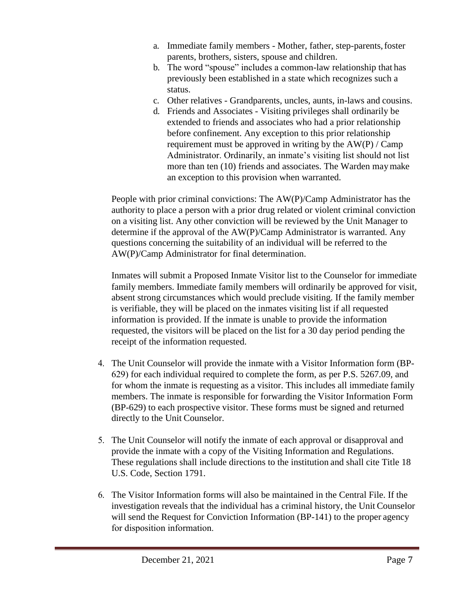- a. Immediate family members Mother, father, step-parents, foster parents, brothers, sisters, spouse and children.
- b. The word "spouse" includes a common-law relationship that has previously been established in a state which recognizes such a status.
- c. Other relatives Grandparents, uncles, aunts, in-laws and cousins.
- d. Friends and Associates Visiting privileges shall ordinarily be extended to friends and associates who had a prior relationship before confinement. Any exception to this prior relationship requirement must be approved in writing by the AW(P) / Camp Administrator. Ordinarily, an inmate's visiting list should not list more than ten (10) friends and associates. The Warden may make an exception to this provision when warranted.

People with prior criminal convictions: The AW(P)/Camp Administrator has the authority to place a person with a prior drug related or violent criminal conviction on a visiting list. Any other conviction will be reviewed by the Unit Manager to determine if the approval of the AW(P)/Camp Administrator is warranted. Any questions concerning the suitability of an individual will be referred to the AW(P)/Camp Administrator for final determination.

Inmates will submit a Proposed Inmate Visitor list to the Counselor for immediate family members. Immediate family members will ordinarily be approved for visit, absent strong circumstances which would preclude visiting. If the family member is verifiable, they will be placed on the inmates visiting list if all requested information is provided. If the inmate is unable to provide the information requested, the visitors will be placed on the list for a 30 day period pending the receipt of the information requested.

- 4. The Unit Counselor will provide the inmate with a Visitor Information form (BP-629) for each individual required to complete the form, as per P.S. 5267.09, and for whom the inmate is requesting as a visitor. This includes all immediate family members. The inmate is responsible for forwarding the Visitor Information Form (BP-629) to each prospective visitor. These forms must be signed and returned directly to the Unit Counselor.
- 5. The Unit Counselor will notify the inmate of each approval or disapproval and provide the inmate with a copy of the Visiting Information and Regulations. These regulations shall include directions to the institution and shall cite Title 18 U.S. Code, Section 1791.
- 6. The Visitor Information forms will also be maintained in the Central File. If the investigation reveals that the individual has a criminal history, the Unit Counselor will send the Request for Conviction Information (BP-141) to the proper agency for disposition information.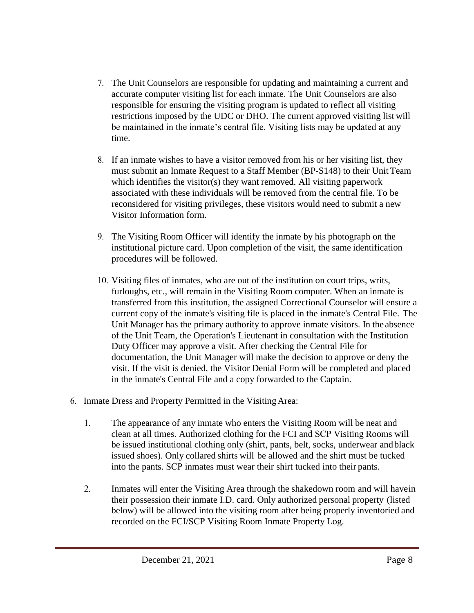- 7. The Unit Counselors are responsible for updating and maintaining a current and accurate computer visiting list for each inmate. The Unit Counselors are also responsible for ensuring the visiting program is updated to reflect all visiting restrictions imposed by the UDC or DHO. The current approved visiting list will be maintained in the inmate's central file. Visiting lists may be updated at any time.
- 8. If an inmate wishes to have a visitor removed from his or her visiting list, they must submit an Inmate Request to a Staff Member (BP-S148) to their Unit Team which identifies the visitor(s) they want removed. All visiting paperwork associated with these individuals will be removed from the central file. To be reconsidered for visiting privileges, these visitors would need to submit a new Visitor Information form.
- 9. The Visiting Room Officer will identify the inmate by his photograph on the institutional picture card. Upon completion of the visit, the same identification procedures will be followed.
- 10. Visiting files of inmates, who are out of the institution on court trips, writs, furloughs, etc., will remain in the Visiting Room computer. When an inmate is transferred from this institution, the assigned Correctional Counselor will ensure a current copy of the inmate's visiting file is placed in the inmate's Central File. The Unit Manager has the primary authority to approve inmate visitors. In the absence of the Unit Team, the Operation's Lieutenant in consultation with the Institution Duty Officer may approve a visit. After checking the Central File for documentation, the Unit Manager will make the decision to approve or deny the visit. If the visit is denied, the Visitor Denial Form will be completed and placed in the inmate's Central File and a copy forwarded to the Captain.

#### 6. Inmate Dress and Property Permitted in the Visiting Area:

- 1. The appearance of any inmate who enters the Visiting Room will be neat and clean at all times. Authorized clothing for the FCI and SCP Visiting Rooms will be issued institutional clothing only (shirt, pants, belt, socks, underwear and black issued shoes). Only collared shirts will be allowed and the shirt must be tucked into the pants. SCP inmates must wear their shirt tucked into their pants.
- 2. Inmates will enter the Visiting Area through the shakedown room and will have in their possession their inmate I.D. card. Only authorized personal property (listed below) will be allowed into the visiting room after being properly inventoried and recorded on the FCI/SCP Visiting Room Inmate Property Log.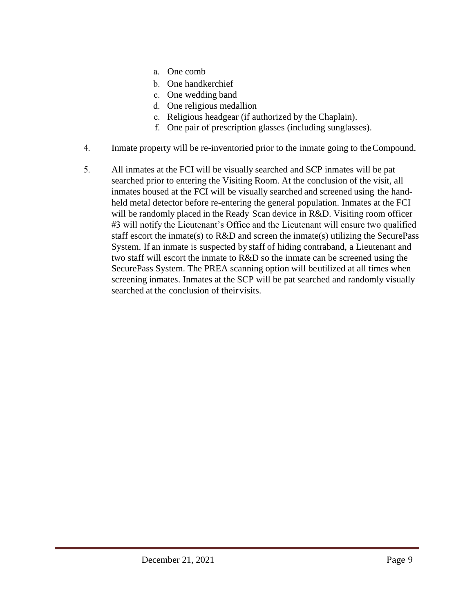- a. One comb
- b. One handkerchief
- c. One wedding band
- d. One religious medallion
- e. Religious headgear (if authorized by the Chaplain).
- f. One pair of prescription glasses (including sunglasses).
- 4. Inmate property will be re-inventoried prior to the inmate going to the Compound.
- 5. All inmates at the FCI will be visually searched and SCP inmates will be pat searched prior to entering the Visiting Room. At the conclusion of the visit, all inmates housed at the FCI will be visually searched and screened using the handheld metal detector before re-entering the general population. Inmates at the FCI will be randomly placed in the Ready Scan device in R&D. Visiting room officer #3 will notify the Lieutenant's Office and the Lieutenant will ensure two qualified staff escort the inmate(s) to R&D and screen the inmate(s) utilizing the SecurePass System. If an inmate is suspected by staff of hiding contraband, a Lieutenant and two staff will escort the inmate to R&D so the inmate can be screened using the SecurePass System. The PREA scanning option will be utilized at all times when screening inmates. Inmates at the SCP will be pat searched and randomly visually searched at the conclusion of their visits.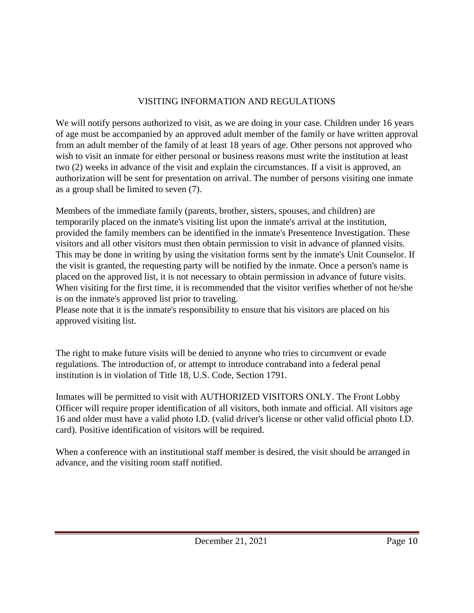#### VISITING INFORMATION AND REGULATIONS

We will notify persons authorized to visit, as we are doing in your case. Children under 16 years of age must be accompanied by an approved adult member of the family or have written approval from an adult member of the family of at least 18 years of age. Other persons not approved who wish to visit an inmate for either personal or business reasons must write the institution at least two (2) weeks in advance of the visit and explain the circumstances. If a visit is approved, an authorization will be sent for presentation on arrival. The number of persons visiting one inmate as a group shall be limited to seven (7).

Members of the immediate family (parents, brother, sisters, spouses, and children) are temporarily placed on the inmate's visiting list upon the inmate's arrival at the institution, provided the family members can be identified in the inmate's Presentence Investigation. These visitors and all other visitors must then obtain permission to visit in advance of planned visits. This may be done in writing by using the visitation forms sent by the inmate's Unit Counselor. If the visit is granted, the requesting party will be notified by the inmate. Once a person's name is placed on the approved list, it is not necessary to obtain permission in advance of future visits. When visiting for the first time, it is recommended that the visitor verifies whether of not he/she is on the inmate's approved list prior to traveling.

Please note that it is the inmate's responsibility to ensure that his visitors are placed on his approved visiting list.

The right to make future visits will be denied to anyone who tries to circumvent or evade regulations. The introduction of, or attempt to introduce contraband into a federal penal institution is in violation of Title 18, U.S. Code, Section 1791.

Inmates will be permitted to visit with AUTHORIZED VISITORS ONLY. The Front Lobby Officer will require proper identification of all visitors, both inmate and official. All visitors age 16 and older must have a valid photo I.D. (valid driver's license or other valid official photo I.D. card). Positive identification of visitors will be required.

When a conference with an institutional staff member is desired, the visit should be arranged in advance, and the visiting room staff notified.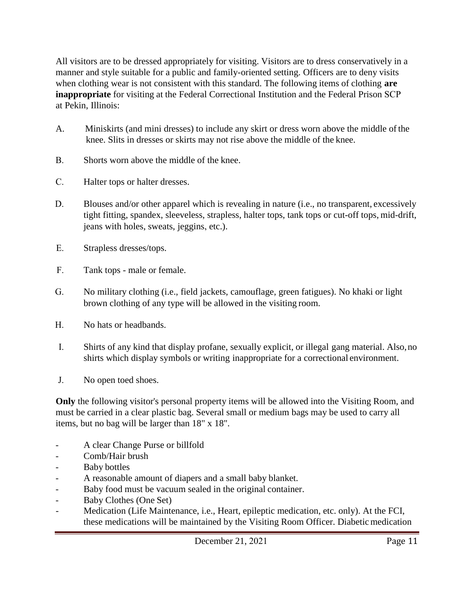All visitors are to be dressed appropriately for visiting. Visitors are to dress conservatively in a manner and style suitable for a public and family-oriented setting. Officers are to deny visits when clothing wear is not consistent with this standard. The following items of clothing **are inappropriate** for visiting at the Federal Correctional Institution and the Federal Prison SCP at Pekin, Illinois:

- A. Miniskirts (and mini dresses) to include any skirt or dress worn above the middle of the knee. Slits in dresses or skirts may not rise above the middle of the knee.
- B. Shorts worn above the middle of the knee.
- C. Halter tops or halter dresses.
- D. Blouses and/or other apparel which is revealing in nature (i.e., no transparent, excessively tight fitting, spandex, sleeveless, strapless, halter tops, tank tops or cut-off tops, mid-drift, jeans with holes, sweats, jeggins, etc.).
- E. Strapless dresses/tops.
- F. Tank tops male or female.
- G. No military clothing (i.e., field jackets, camouflage, green fatigues). No khaki or light brown clothing of any type will be allowed in the visiting room.
- H. No hats or headbands.
- I. Shirts of any kind that display profane, sexually explicit, or illegal gang material. Also, no shirts which display symbols or writing inappropriate for a correctional environment.
- J. No open toed shoes.

**Only** the following visitor's personal property items will be allowed into the Visiting Room, and must be carried in a clear plastic bag. Several small or medium bags may be used to carry all items, but no bag will be larger than 18" x 18".

- A clear Change Purse or billfold
- Comb/Hair brush
- Baby bottles
- A reasonable amount of diapers and a small baby blanket.
- Baby food must be vacuum sealed in the original container.
- Baby Clothes (One Set)
- Medication (Life Maintenance, i.e., Heart, epileptic medication, etc. only). At the FCI, these medications will be maintained by the Visiting Room Officer. Diabetic medication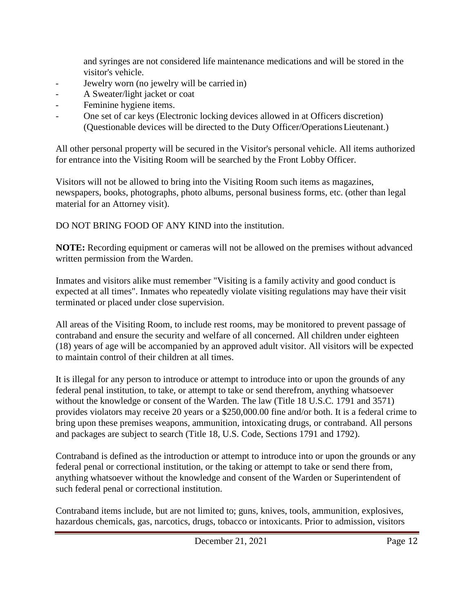and syringes are not considered life maintenance medications and will be stored in the visitor's vehicle.

- Jewelry worn (no jewelry will be carried in)
- A Sweater/light jacket or coat
- Feminine hygiene items.
- One set of car keys (Electronic locking devices allowed in at Officers discretion) (Questionable devices will be directed to the Duty Officer/OperationsLieutenant.)

All other personal property will be secured in the Visitor's personal vehicle. All items authorized for entrance into the Visiting Room will be searched by the Front Lobby Officer.

Visitors will not be allowed to bring into the Visiting Room such items as magazines, newspapers, books, photographs, photo albums, personal business forms, etc. (other than legal material for an Attorney visit).

DO NOT BRING FOOD OF ANY KIND into the institution.

**NOTE:** Recording equipment or cameras will not be allowed on the premises without advanced written permission from the Warden.

Inmates and visitors alike must remember "Visiting is a family activity and good conduct is expected at all times". Inmates who repeatedly violate visiting regulations may have their visit terminated or placed under close supervision.

All areas of the Visiting Room, to include rest rooms, may be monitored to prevent passage of contraband and ensure the security and welfare of all concerned. All children under eighteen (18) years of age will be accompanied by an approved adult visitor. All visitors will be expected to maintain control of their children at all times.

It is illegal for any person to introduce or attempt to introduce into or upon the grounds of any federal penal institution, to take, or attempt to take or send therefrom, anything whatsoever without the knowledge or consent of the Warden. The law (Title 18 U.S.C. 1791 and 3571) provides violators may receive 20 years or a \$250,000.00 fine and/or both. It is a federal crime to bring upon these premises weapons, ammunition, intoxicating drugs, or contraband. All persons and packages are subject to search (Title 18, U.S. Code, Sections 1791 and 1792).

Contraband is defined as the introduction or attempt to introduce into or upon the grounds or any federal penal or correctional institution, or the taking or attempt to take or send there from, anything whatsoever without the knowledge and consent of the Warden or Superintendent of such federal penal or correctional institution.

Contraband items include, but are not limited to; guns, knives, tools, ammunition, explosives, hazardous chemicals, gas, narcotics, drugs, tobacco or intoxicants. Prior to admission, visitors